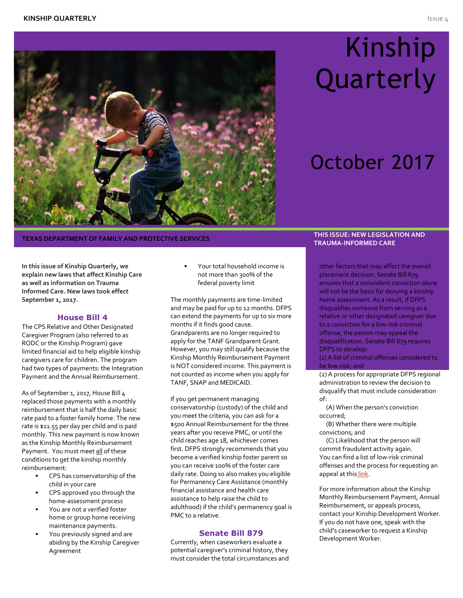

## THIS ISSUE: NEW LEGISLATION AND THE SERVICES **THE SERVICES THIS ISSUE: NEW LEGISLATION AND**

**In this issue of Kinship Quarterly, we explain new laws that affect Kinship Care as well as information on Trauma Informed Care. New laws took effect September 1, 2017.**

### **House Bill 4**

The CPS Relative and Other Designated Caregiver Program (also referred to as RODC or the Kinship Program) gave limited financial aid to help eligible kinship caregivers care for children. The program had two types of payments: the Integration Payment and the Annual Reimbursement.

As of September 1, 2017, House Bill 4 replaced those payments with a monthly reimbursement that is half the daily basic rate paid to a foster family home. The new rate is \$11.55 per day per child and is paid monthly. This new payment is now known as the Kinship Monthly Reimbursement Payment. You must meet all of these conditions to get the kinship monthly reimbursement:

- CPS has conservatorship of the child in your care
- CPS approved you through the home-assessment process
- You are not a verified foster home or group home receiving maintenance payments.
- You previously signed and are abiding by the Kinship Caregiver Agreement

• Your total household income is not more than 300% of the federal poverty limit

The monthly payments are time-limited and may be paid for up to 12 months. DFPS can extend the payments for up to six more months if it finds good cause. Grandparents are no longer required to apply for the TANF Grandparent Grant. However, you may still qualify because the Kinship Monthly Reimbursement Payment is NOT considered income. This payment is not counted as income when you apply for TANF, SNAP and MEDICAID.

If you get permanent managing conservatorship (custody) of the child and you meet the criteria, you can ask for a \$500 Annual Reimbursement for the three years after you receive PMC, or until the child reaches age 18, whichever comes first. DFPS strongly recommends that you become a verified kinship foster parent so you can receive 100% of the foster care daily rate. Doing so also makes you eligible for Permanency Care Assistance (monthly financial assistance and health care assistance to help raise the child to adulthood) if the child's permanency goal is PMC to a relative.

#### **Senate Bill 879**

Currently, when caseworkers evaluate a potential caregiver's criminal history, they must consider the total circumstances and

# Kinship **Quarterly**

## October 2017

## **TRAUMA-INFORMED CARE**

other factors that may affect the overall placement decision. Senate Bill 879 ensures that a nonviolent conviction alone will not be the basis for denying a kinship home assessment. As a result, if DFPS disqualifies someone from serving as a relative or other designated caregiver due to a conviction for a low-risk criminal offense, the person may appeal the disqualification. Senate Bill 879 requires DFPS to develop:

(1) A list of criminal offenses considered to be low-risk; and

(2) A process for appropriate DFPS regional administration to review the decision to disqualify that must include consideration of:

 (A) When the person's conviction occurred;

 (B) Whether there were multiple convictions; and

 (C) Likelihood that the person will commit fraudulent activity again. You can find a list of low-risk criminal offenses and the process for requesting an appeal at this [link.](http://www.dfps.state.tx.us/Adoption_and_Foster_Care/Kinship_Care/documents/Low-Risk_Offense_Appeal_Process.pdf)

For more information about the Kinship Monthly Reimbursement Payment, Annual Reimbursement, or appeals process, contact your Kinship Development Worker. If you do not have one, speak with the child's caseworker to request a Kinship Development Worker.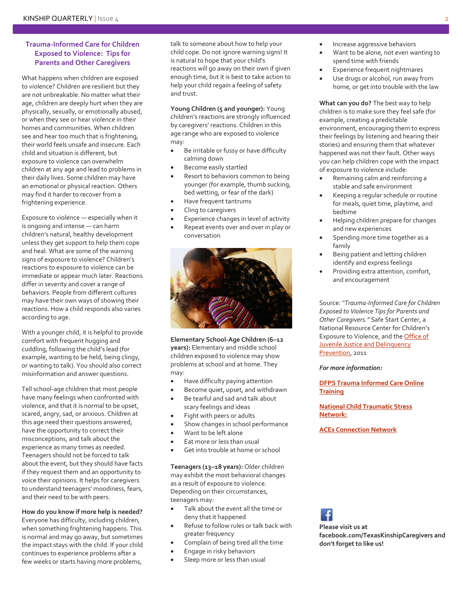## **Trauma-Informed Care for Children Exposed to Violence: Tips for Parents and Other Caregivers**

What happens when children are exposed to violence? Children are resilient but they are not unbreakable. No matter what their age, children are deeply hurt when they are physically, sexually, or emotionally abused, or when they see or hear violence in their homes and communities. When children see and hear too much that is frightening, their world feels unsafe and insecure. Each child and situation is different, but exposure to violence can overwhelm children at any age and lead to problems in their daily lives. Some children may have an emotional or physical reaction. Others may find it harder to recover from a frightening experience.

Exposure to violence — especially when it is ongoing and intense — can harm children's natural, healthy development unless they get support to help them cope and heal. What are some of the warning signs of exposure to violence? Children's reactions to exposure to violence can be immediate or appear much later. Reactions differ in severity and cover a range of behaviors. People from different cultures may have their own ways of showing their reactions. How a child responds also varies according to age.

With a younger child, it is helpful to provide comfort with frequent hugging and cuddling, following the child's lead (for example, wanting to be held, being clingy, or wanting to talk). You should also correct misinformation and answer questions.

Tell school-age children that most people have many feelings when confronted with violence, and that it is normal to be upset, scared, angry, sad, or anxious. Children at this age need their questions answered, have the opportunity to correct their misconceptions, and talk about the experience as many times as needed. Teenagers should not be forced to talk about the event, but they should have facts if they request them and an opportunity to voice their opinions. It helps for caregivers to understand teenagers' moodiness, fears, and their need to be with peers.

**How do you know if more help is needed?**

Everyone has difficulty, including children, when something frightening happens. This is normal and may go away, but sometimes the impact stays with the child. If your child continues to experience problems after a few weeks or starts having more problems,

talk to someone about how to help your child cope. Do not ignore warning signs! It is natural to hope that your child's reactions will go away on their own if given enough time, but it is best to take action to help your child regain a feeling of safety and trust.

**Young Children (5 and younger):** Young children's reactions are strongly influenced by caregivers' reactions. Children in this age range who are exposed to violence may:

- Be irritable or fussy or have difficulty calming down
- Become easily startled
- Resort to behaviors common to being younger (for example, thumb sucking, bed wetting, or fear of the dark)
- Have frequent tantrums
- Cling to caregivers
- Experience changes in level of activity
- Repeat events over and over in play or conversation



**Elementary School-Age Children (6–12 years):** Elementary and middle school children exposed to violence may show problems at school and at home. They may:

- Have difficulty paying attention
- Become quiet, upset, and withdrawn
- Be tearful and sad and talk about scary feelings and ideas
- Fight with peers or adults
- Show changes in school performance
- Want to be left alone
- Eat more or less than usual
- Get into trouble at home or school

**Teenagers (13–18 years):** Older children may exhibit the most behavioral changes as a result of exposure to violence. Depending on their circumstances, teenagers may:

- Talk about the event all the time or deny that it happened
- Refuse to follow rules or talk back with greater frequency
- Complain of being tired all the time
- Engage in risky behaviors
- Sleep more or less than usual
- Increase aggressive behaviors
- Want to be alone, not even wanting to spend time with friends
- Experience frequent nightmares
- Use drugs or alcohol, run away from home, or get into trouble with the law

**What can you do?** The best way to help children is to make sure they feel safe (for example, creating a predictable environment, encouraging them to express their feelings by listening and hearing their stories) and ensuring them that whatever happened was not their fault. Other ways you can help children cope with the impact of exposure to violence include:

- Remaining calm and reinforcing a stable and safe environment
- Keeping a regular schedule or routine for meals, quiet time, playtime, and bedtime
- Helping children prepare for changes and new experiences
- Spending more time together as a family
- Being patient and letting children identify and express feelings
- Providing extra attention, comfort, and encouragement

Source: *"Trauma-Informed Care for Children Exposed to Violence Tips for Parents and Other Caregivers."* Safe Start Center, a National Resource Center for Children's Exposure to Violence, and the **Office of** [Juvenile Justice and Delinquency](https://www.ojjdp.gov/publications/index.html)  [Prevention,](https://www.ojjdp.gov/publications/index.html) 2011

#### *For more information:*

**[DFPS Trauma Informed Care Online](https://www.dfps.state.tx.us/training/trauma_informed_care/)  [Training](https://www.dfps.state.tx.us/training/trauma_informed_care/)**

**[National Child Traumatic Stress](http://www.nctsn.org/)  [Network:](http://www.nctsn.org/)**

**[ACEs Connection Network](http://www.acesconnection.com/)**

**Please visit us at facebook.com/TexasKinshipCaregivers and don't forget to like us!**